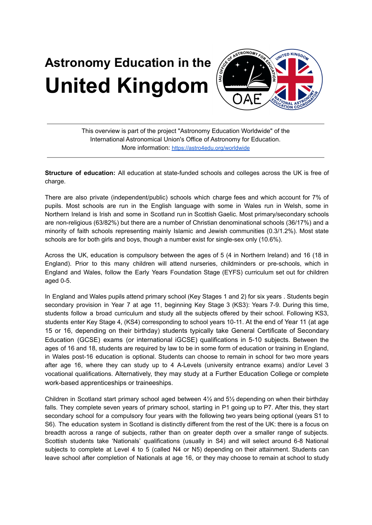## **Astronomy Education in the Astronomy Education in the Astronomy Education in the Assumption of the Assumption of the Assumption of the Assumption of the Assumption of the Assumption of the Assume of the Assume of the Assume of the Assume of the Ass**



This overview is part of the project "Astronomy Education Worldwide" of the International Astronomical Union's Office of Astronomy for Education. More information: <https://astro4edu.org/worldwide>

**Structure of education:** All education at state-funded schools and colleges across the UK is free of charge.

There are also private (independent/public) schools which charge fees and which account for 7% of pupils. Most schools are run in the English language with some in Wales run in Welsh, some in Northern Ireland is Irish and some in Scotland run in Scottish Gaelic. Most primary/secondary schools are non-religious (63/82%) but there are a number of Christian denominational schools (36/17%) and a minority of faith schools representing mainly Islamic and Jewish communities (0.3/1.2%). Most state schools are for both girls and boys, though a number exist for single-sex only (10.6%).

Across the UK, education is compulsory between the ages of 5 (4 in Northern Ireland) and 16 (18 in England). Prior to this many children will attend nurseries, childminders or pre-schools, which in England and Wales, follow the Early Years Foundation Stage (EYFS) curriculum set out for children aged 0-5.

In England and Wales pupils attend primary school (Key Stages 1 and 2) for six years . Students begin secondary provision in Year 7 at age 11, beginning Key Stage 3 (KS3): Years 7-9. During this time, students follow a broad curriculum and study all the subjects offered by their school. Following KS3, students enter Key Stage 4, (KS4) corresponding to school years 10-11. At the end of Year 11 (at age 15 or 16, depending on their birthday) students typically take General Certificate of Secondary Education (GCSE) exams (or international iGCSE) qualifications in 5-10 subjects. Between the ages of 16 and 18, students are required by law to be in some form of education or training in England, in Wales post-16 education is optional. Students can choose to remain in school for two more years after age 16, where they can study up to 4 A-Levels (university entrance exams) and/or Level 3 vocational qualifications. Alternatively, they may study at a Further Education College or complete work-based apprenticeships or traineeships.

Children in Scotland start primary school aged between 4½ and 5½ depending on when their birthday falls. They complete seven years of primary school, starting in P1 going up to P7. After this, they start secondary school for a compulsory four years with the following two years being optional (years S1 to S6). The education system in Scotland is distinctly different from the rest of the UK: there is a focus on breadth across a range of subjects, rather than on greater depth over a smaller range of subjects. Scottish students take 'Nationals' qualifications (usually in S4) and will select around 6-8 National subjects to complete at Level 4 to 5 (called N4 or N5) depending on their attainment. Students can leave school after completion of Nationals at age 16, or they may choose to remain at school to study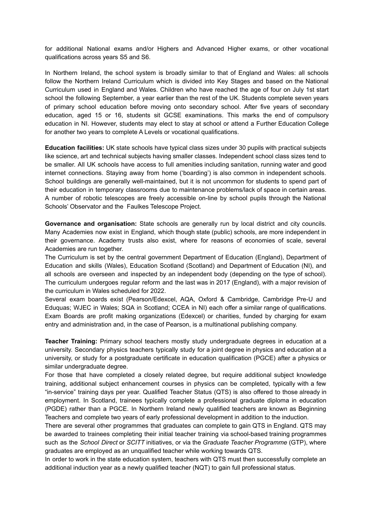for additional National exams and/or Highers and Advanced Higher exams, or other vocational qualifications across years S5 and S6.

In Northern Ireland, the school system is broadly similar to that of England and Wales: all schools follow the Northern Ireland Curriculum which is divided into Key Stages and based on the National Curriculum used in England and Wales. Children who have reached the age of four on July 1st start school the following September, a year earlier than the rest of the UK. Students complete seven years of primary school education before moving onto secondary school. After five years of secondary education, aged 15 or 16, students sit GCSE examinations. This marks the end of compulsory education in NI. However, students may elect to stay at school or attend a Further Education College for another two years to complete A Levels or vocational qualifications.

**Education facilities:** UK state schools have typical class sizes under 30 pupils with practical subjects like science, art and technical subjects having smaller classes. Independent school class sizes tend to be smaller. All UK schools have access to full amenities including sanitation, running water and good internet connections. Staying away from home ('boarding') is also common in independent schools. School buildings are generally well-maintained, but it is not uncommon for students to spend part of their education in temporary classrooms due to maintenance problems/lack of space in certain areas. A number of robotic telescopes are freely accessible on-line by school pupils through the National Schools' Observator and the Faulkes Telescope Project.

**Governance and organisation:** State schools are generally run by local district and city councils. Many Academies now exist in England, which though state (public) schools, are more independent in their governance. Academy trusts also exist, where for reasons of economies of scale, several Academies are run together.

The Curriculum is set by the central government Department of Education (England), Department of Education and skills (Wales), Education Scotland (Scotland) and Department of Education (NI), and all schools are overseen and inspected by an independent body (depending on the type of school). The curriculum undergoes regular reform and the last was in 2017 (England), with a major revision of the curriculum in Wales scheduled for 2022.

Several exam boards exist (Pearson/Edexcel, AQA, Oxford & Cambridge, Cambridge Pre-U and Eduquas; WJEC in Wales; SQA in Scotland; CCEA in NI) each offer a similar range of qualifications. Exam Boards are profit making organizations (Edexcel) or charities, funded by charging for exam entry and administration and, in the case of Pearson, is a multinational publishing company.

**Teacher Training:** Primary school teachers mostly study undergraduate degrees in education at a university. Secondary physics teachers typically study for a joint degree in physics and education at a university, or study for a postgraduate certificate in education qualification (PGCE) after a physics or similar undergraduate degree.

For those that have completed a closely related degree, but require additional subject knowledge training, additional subject enhancement courses in physics can be completed, typically with a few "in-service" training days per year. Qualified Teacher Status (QTS) is also offered to those already in employment. In Scotland, trainees typically complete a professional graduate diploma in education (PGDE) rather than a PGCE. In Northern Ireland newly qualified teachers are known as Beginning Teachers and complete two years of early professional development in addition to the induction.

There are several other programmes that graduates can complete to gain QTS in England. QTS may be awarded to trainees completing their initial teacher training via school-based training programmes such as the *School Direct* or *SCITT* initiatives, or via the *Graduate Teacher Programme* (GTP), where graduates are employed as an unqualified teacher while working towards QTS.

In order to work in the state education system, teachers with QTS must then successfully complete an additional induction year as a newly qualified teacher (NQT) to gain full professional status.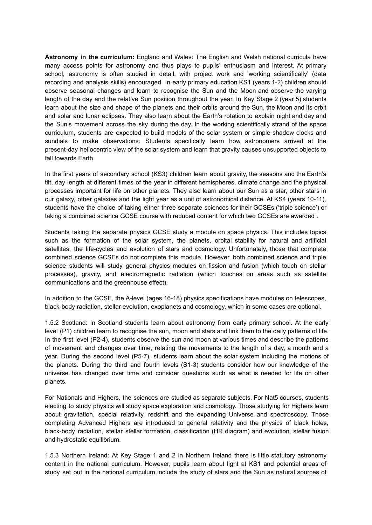**Astronomy in the curriculum:** England and Wales: The English and Welsh national curricula have many access points for astronomy and thus plays to pupils' enthusiasm and interest. At primary school, astronomy is often studied in detail, with project work and 'working scientifically' (data recording and analysis skills) encouraged. In early primary education KS1 (years 1-2) children should observe seasonal changes and learn to recognise the Sun and the Moon and observe the varying length of the day and the relative Sun position throughout the year. In Key Stage 2 (year 5) students learn about the size and shape of the planets and their orbits around the Sun, the Moon and its orbit and solar and lunar eclipses. They also learn about the Earth's rotation to explain night and day and the Sun's movement across the sky during the day. In the working scientifically strand of the space curriculum, students are expected to build models of the solar system or simple shadow clocks and sundials to make observations. Students specifically learn how astronomers arrived at the present-day heliocentric view of the solar system and learn that gravity causes unsupported objects to fall towards Earth.

In the first years of secondary school (KS3) children learn about gravity, the seasons and the Earth's tilt, day length at different times of the year in different hemispheres, climate change and the physical processes important for life on other planets. They also learn about our Sun as a star, other stars in our galaxy, other galaxies and the light year as a unit of astronomical distance. At KS4 (years 10-11), students have the choice of taking either three separate sciences for their GCSEs ('triple science') or taking a combined science GCSE course with reduced content for which two GCSEs are awarded .

Students taking the separate physics GCSE study a module on space physics. This includes topics such as the formation of the solar system, the planets, orbital stability for natural and artificial satellites, the life-cycles and evolution of stars and cosmology. Unfortunately, those that complete combined science GCSEs do not complete this module. However, both combined science and triple science students will study general physics modules on fission and fusion (which touch on stellar processes), gravity, and electromagnetic radiation (which touches on areas such as satellite communications and the greenhouse effect).

In addition to the GCSE, the A-level (ages 16-18) physics specifications have modules on telescopes, black-body radiation, stellar evolution, exoplanets and cosmology, which in some cases are optional.

1.5.2 Scotland: In Scotland students learn about astronomy from early primary school. At the early level (P1) children learn to recognise the sun, moon and stars and link them to the daily patterns of life. In the first level (P2-4), students observe the sun and moon at various times and describe the patterns of movement and changes over time, relating the movements to the length of a day, a month and a year. During the second level (P5-7), students learn about the solar system including the motions of the planets. During the third and fourth levels (S1-3) students consider how our knowledge of the universe has changed over time and consider questions such as what is needed for life on other planets.

For Nationals and Highers, the sciences are studied as separate subjects. For Nat5 courses, students electing to study physics will study space exploration and cosmology. Those studying for Highers learn about gravitation, special relativity, redshift and the expanding Universe and spectroscopy. Those completing Advanced Highers are introduced to general relativity and the physics of black holes, black-body radiation, stellar stellar formation, classification (HR diagram) and evolution, stellar fusion and hydrostatic equilibrium.

1.5.3 Northern Ireland: At Key Stage 1 and 2 in Northern Ireland there is little statutory astronomy content in the national curriculum. However, pupils learn about light at KS1 and potential areas of study set out in the national curriculum include the study of stars and the Sun as natural sources of